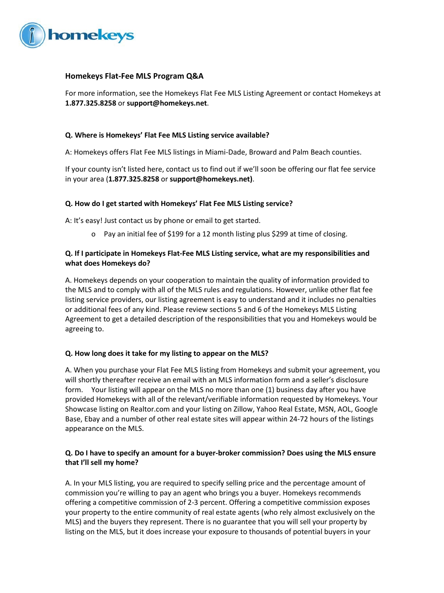

# **Homekeys Flat-Fee MLS Program Q&A**

For more information, see the Homekeys Flat Fee MLS Listing Agreement or contact Homekeys at **1.877.325.8258** or **support@homekeys.net**.

# **Q. Where is Homekeys' Flat Fee MLS Listing service available?**

A: Homekeys offers Flat Fee MLS listings in Miami-Dade, Broward and Palm Beach counties.

If your county isn't listed here, contact us to find out if we'll soon be offering our flat fee service in your area (**1.877.325.8258** or **support@homekeys.net)**.

### **Q. How do I get started with Homekeys' Flat Fee MLS Listing service?**

A: It's easy! Just contact us by phone or email to get started.

o Pay an initial fee of \$199 for a 12 month listing plus \$299 at time of closing.

# **Q. If I participate in Homekeys Flat-Fee MLS Listing service, what are my responsibilities and what does Homekeys do?**

A. Homekeys depends on your cooperation to maintain the quality of information provided to the MLS and to comply with all of the MLS rules and regulations. However, unlike other flat fee listing service providers, our listing agreement is easy to understand and it includes no penalties or additional fees of any kind. Please review sections 5 and 6 of the Homekeys MLS Listing Agreement to get a detailed description of the responsibilities that you and Homekeys would be agreeing to.

### **Q. How long does it take for my listing to appear on the MLS?**

A. When you purchase your Flat Fee MLS listing from Homekeys and submit your agreement, you will shortly thereafter receive an email with an MLS information form and a seller's disclosure form. Your listing will appear on the MLS no more than one (1) business day after you have provided Homekeys with all of the relevant/verifiable information requested by Homekeys. Your Showcase listing on Realtor.com and your listing on Zillow, Yahoo Real Estate, MSN, AOL, Google Base, Ebay and a number of other real estate sites will appear within 24-72 hours of the listings appearance on the MLS.

# **Q. Do I have to specify an amount for a buyer-broker commission? Does using the MLS ensure that I'll sell my home?**

A. In your MLS listing, you are required to specify selling price and the percentage amount of commission you're willing to pay an agent who brings you a buyer. Homekeys recommends offering a competitive commission of 2-3 percent. Offering a competitive commission exposes your property to the entire community of real estate agents (who rely almost exclusively on the MLS) and the buyers they represent. There is no guarantee that you will sell your property by listing on the MLS, but it does increase your exposure to thousands of potential buyers in your